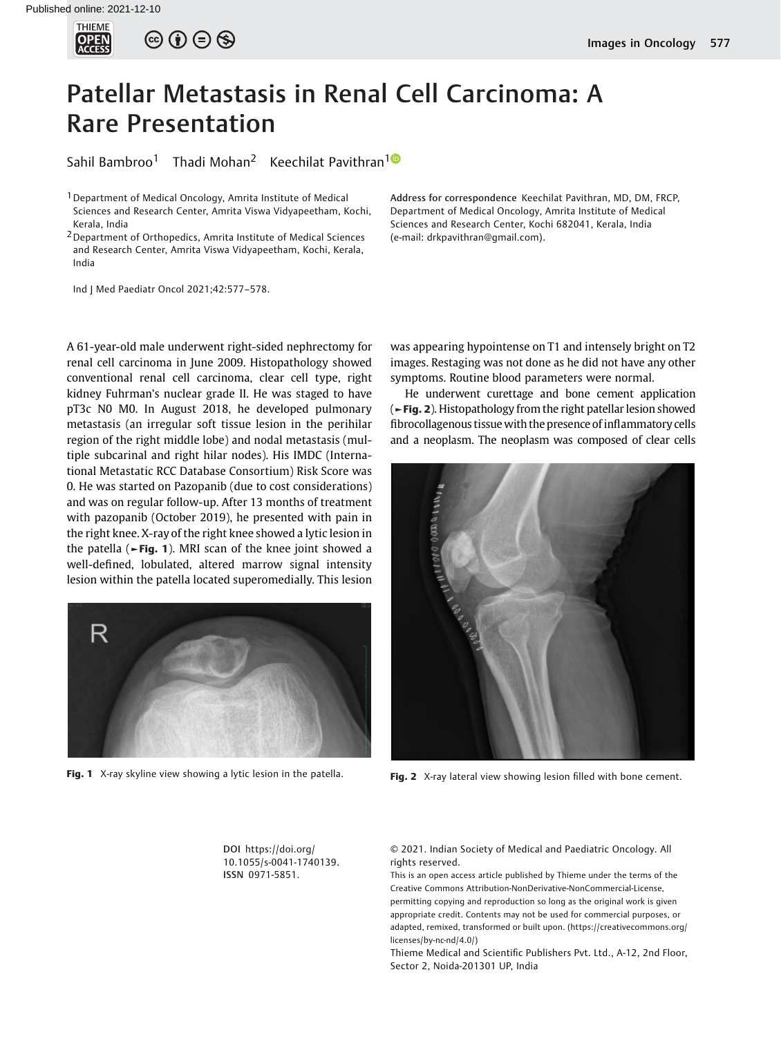

## Patellar Metastasis in Renal Cell Carcinoma: A Rare Presentation

Sahil Bambroo<sup>1</sup> Thadi Mohan<sup>2</sup> Keechilat Pavithran<sup>10</sup>

<sup>1</sup> Department of Medical Oncology, Amrita Institute of Medical Sciences and Research Center, Amrita Viswa Vidyapeetham, Kochi, Kerala, India

<sup>2</sup> Department of Orthopedics, Amrita Institute of Medical Sciences and Research Center, Amrita Viswa Vidyapeetham, Kochi, Kerala, India

Ind J Med Paediatr Oncol 2021;42:577–578.

A 61-year-old male underwent right-sided nephrectomy for renal cell carcinoma in June 2009. Histopathology showed conventional renal cell carcinoma, clear cell type, right kidney Fuhrman's nuclear grade II. He was staged to have pT3c N0 M0. In August 2018, he developed pulmonary

metastasis (an irregular soft tissue lesion in the perihilar region of the right middle lobe) and nodal metastasis (multiple subcarinal and right hilar nodes). His IMDC (International Metastatic RCC Database Consortium) Risk Score was 0. He was started on Pazopanib (due to cost considerations) and was on regular follow-up. After 13 months of treatment with pazopanib (October 2019), he presented with pain in the right knee. X-ray of the right knee showed a lytic lesion in the patella (►Fig. 1). MRI scan of the knee joint showed a well-defined, lobulated, altered marrow signal intensity lesion within the patella located superomedially. This lesion



Fig. 1 X-ray skyline view showing a lytic lesion in the patella. Fig. 2 X-ray lateral view showing lesion filled with bone cement.

was appearing hypointense on T1 and intensely bright on T2 images. Restaging was not done as he did not have any other symptoms. Routine blood parameters were normal.

Address for correspondence Keechilat Pavithran, MD, DM, FRCP, Department of Medical Oncology, Amrita Institute of Medical Sciences and Research Center, Kochi 682041, Kerala, India

(e-mail: [drkpavithran@gmail.com\)](mailto:drkpavithran@gmail.com).

He underwent curettage and bone cement application (►Fig. 2). Histopathology from the right patellar lesion showed fibrocollagenous tissue with the presence of inflammatory cells and a neoplasm. The neoplasm was composed of clear cells



DOI [https://doi.org/](https://doi.org/10.1055/s-0041-1740139) [10.1055/s-0041-1740139](https://doi.org/10.1055/s-0041-1740139). ISSN 0971-5851.

© 2021. Indian Society of Medical and Paediatric Oncology. All rights reserved.

This is an open access article published by Thieme under the terms of the Creative Commons Attribution-NonDerivative-NonCommercial-License, permitting copying and reproduction so long as the original work is given appropriate credit. Contents may not be used for commercial purposes, or adapted, remixed, transformed or built upon. (https://creativecommons.org/ licenses/by-nc-nd/4.0/)

Thieme Medical and Scientific Publishers Pvt. Ltd., A-12, 2nd Floor, Sector 2, Noida-201301 UP, India